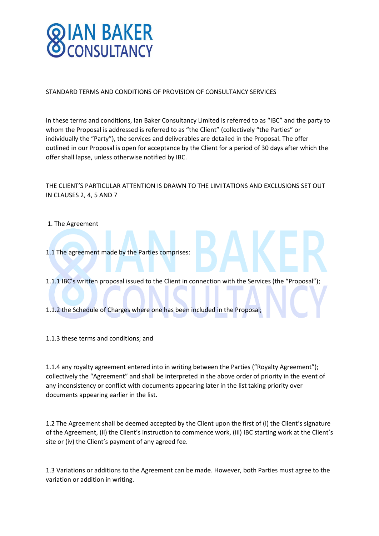

STANDARD TERMS AND CONDITIONS OF PROVISION OF CONSULTANCY SERVICES

In these terms and conditions, Ian Baker Consultancy Limited is referred to as "IBC" and the party to whom the Proposal is addressed is referred to as "the Client" (collectively "the Parties" or individually the "Party"), the services and deliverables are detailed in the Proposal. The offer outlined in our Proposal is open for acceptance by the Client for a period of 30 days after which the offer shall lapse, unless otherwise notified by IBC.

### THE CLIENT'S PARTICULAR ATTENTION IS DRAWN TO THE LIMITATIONS AND EXCLUSIONS SET OUT IN CLAUSES 2, 4, 5 AND 7

- 1. The Agreement
- 1.1 The agreement made by the Parties comprises:

1.1.1 IBC's written proposal issued to the Client in connection with the Services (the "Proposal");

1.1.2 the Schedule of Charges where one has been included in the Proposal;

1.1.3 these terms and conditions; and

1.1.4 any royalty agreement entered into in writing between the Parties ("Royalty Agreement"); collectively the "Agreement" and shall be interpreted in the above order of priority in the event of any inconsistency or conflict with documents appearing later in the list taking priority over documents appearing earlier in the list.

1.2 The Agreement shall be deemed accepted by the Client upon the first of (i) the Client's signature of the Agreement, (ii) the Client's instruction to commence work, (iii) IBC starting work at the Client's site or (iv) the Client's payment of any agreed fee.

1.3 Variations or additions to the Agreement can be made. However, both Parties must agree to the variation or addition in writing.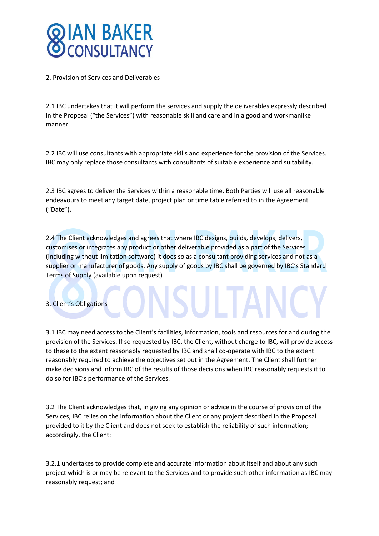

2. Provision of Services and Deliverables

2.1 IBC undertakes that it will perform the services and supply the deliverables expressly described in the Proposal ("the Services") with reasonable skill and care and in a good and workmanlike manner.

2.2 IBC will use consultants with appropriate skills and experience for the provision of the Services. IBC may only replace those consultants with consultants of suitable experience and suitability.

2.3 IBC agrees to deliver the Services within a reasonable time. Both Parties will use all reasonable endeavours to meet any target date, project plan or time table referred to in the Agreement ("Date").

2.4 The Client acknowledges and agrees that where IBC designs, builds, develops, delivers, customises or integrates any product or other deliverable provided as a part of the Services (including without limitation software) it does so as a consultant providing services and not as a supplier or manufacturer of goods. Any supply of goods by IBC shall be governed by IBC's Standard Terms of Supply (available upon request)

3. Client's Obligations

3.1 IBC may need access to the Client's facilities, information, tools and resources for and during the provision of the Services. If so requested by IBC, the Client, without charge to IBC, will provide access to these to the extent reasonably requested by IBC and shall co-operate with IBC to the extent reasonably required to achieve the objectives set out in the Agreement. The Client shall further make decisions and inform IBC of the results of those decisions when IBC reasonably requests it to do so for IBC's performance of the Services.

3.2 The Client acknowledges that, in giving any opinion or advice in the course of provision of the Services, IBC relies on the information about the Client or any project described in the Proposal provided to it by the Client and does not seek to establish the reliability of such information; accordingly, the Client:

3.2.1 undertakes to provide complete and accurate information about itself and about any such project which is or may be relevant to the Services and to provide such other information as IBC may reasonably request; and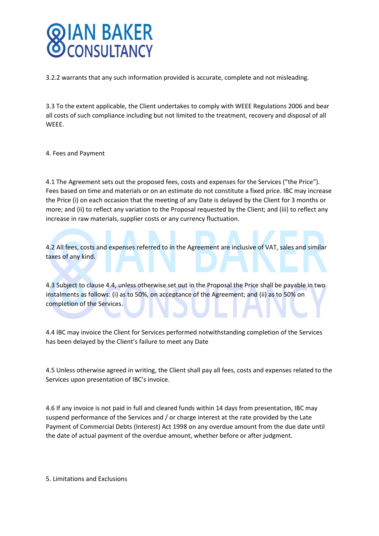# **IAN BAKER**

3.2.2 warrants that any such information provided is accurate, complete and not misleading.

3.3 To the extent applicable, the Client undertakes to comply with WEEE Regulations 2006 and bear all costs of such compliance including but not limited to the treatment, recovery and disposal of all WEEE.

#### 4. Fees and Payment

4.1 The Agreement sets out the proposed fees, costs and expenses for the Services ("the Price"). Fees based on time and materials or on an estimate do not constitute a fixed price. IBC may increase the Price (i) on each occasion that the meeting of any Date is delayed by the Client for 3 months or more; and (ii) to reflect any variation to the Proposal requested by the Client; and (iii) to reflect any increase in raw materials, supplier costs or any currency fluctuation.

4.2 All fees, costs and expenses referred to in the Agreement are inclusive of VAT, sales and similar taxes of any kind.

4.3 Subject to clause 4.4, unless otherwise set out in the Proposal the Price shall be payable in two instalments as follows: (i) as to 50%, on acceptance of the Agreement; and (ii) as to 50% on completion of the Services.

4.4 IBC may invoice the Client for Services performed notwithstanding completion of the Services has been delayed by the Client's failure to meet any Date

4.5 Unless otherwise agreed in writing, the Client shall pay all fees, costs and expenses related to the Services upon presentation of IBC's invoice.

4.6 If any invoice is not paid in full and cleared funds within 14 days from presentation, IBC may suspend performance of the Services and / or charge interest at the rate provided by the Late Payment of Commercial Debts (Interest) Act 1998 on any overdue amount from the due date until the date of actual payment of the overdue amount, whether before or after judgment.

5. Limitations and Exclusions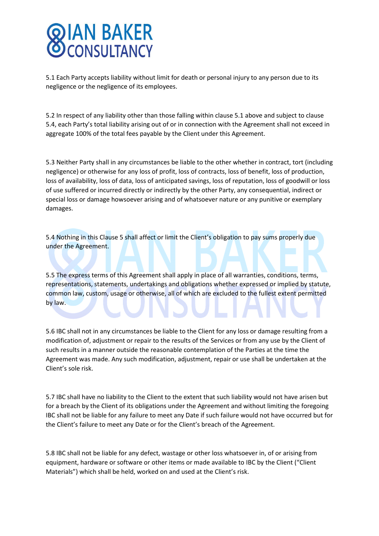# **THAN BAKER**

5.1 Each Party accepts liability without limit for death or personal injury to any person due to its negligence or the negligence of its employees.

5.2 In respect of any liability other than those falling within clause 5.1 above and subject to clause 5.4, each Party's total liability arising out of or in connection with the Agreement shall not exceed in aggregate 100% of the total fees payable by the Client under this Agreement.

5.3 Neither Party shall in any circumstances be liable to the other whether in contract, tort (including negligence) or otherwise for any loss of profit, loss of contracts, loss of benefit, loss of production, loss of availability, loss of data, loss of anticipated savings, loss of reputation, loss of goodwill or loss of use suffered or incurred directly or indirectly by the other Party, any consequential, indirect or special loss or damage howsoever arising and of whatsoever nature or any punitive or exemplary damages.

5.4 Nothing in this Clause 5 shall affect or limit the Client's obligation to pay sums properly due under the Agreement.

5.5 The express terms of this Agreement shall apply in place of all warranties, conditions, terms, representations, statements, undertakings and obligations whether expressed or implied by statute, common law, custom, usage or otherwise, all of which are excluded to the fullest extent permitted by law.

5.6 IBC shall not in any circumstances be liable to the Client for any loss or damage resulting from a modification of, adjustment or repair to the results of the Services or from any use by the Client of such results in a manner outside the reasonable contemplation of the Parties at the time the Agreement was made. Any such modification, adjustment, repair or use shall be undertaken at the Client's sole risk.

5.7 IBC shall have no liability to the Client to the extent that such liability would not have arisen but for a breach by the Client of its obligations under the Agreement and without limiting the foregoing IBC shall not be liable for any failure to meet any Date if such failure would not have occurred but for the Client's failure to meet any Date or for the Client's breach of the Agreement.

5.8 IBC shall not be liable for any defect, wastage or other loss whatsoever in, of or arising from equipment, hardware or software or other items or made available to IBC by the Client ("Client Materials") which shall be held, worked on and used at the Client's risk.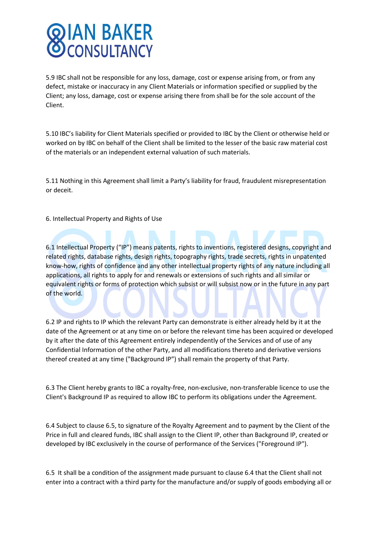# **IAN BAKER**<br>CONSULTANCY

5.9 IBC shall not be responsible for any loss, damage, cost or expense arising from, or from any defect, mistake or inaccuracy in any Client Materials or information specified or supplied by the Client; any loss, damage, cost or expense arising there from shall be for the sole account of the Client.

5.10 IBC's liability for Client Materials specified or provided to IBC by the Client or otherwise held or worked on by IBC on behalf of the Client shall be limited to the lesser of the basic raw material cost of the materials or an independent external valuation of such materials.

5.11 Nothing in this Agreement shall limit a Party's liability for fraud, fraudulent misrepresentation or deceit.

6. Intellectual Property and Rights of Use

6.1 Intellectual Property ("IP") means patents, rights to inventions, registered designs, copyright and related rights, database rights, design rights, topography rights, trade secrets, rights in unpatented know-how, rights of confidence and any other intellectual property rights of any nature including all applications, all rights to apply for and renewals or extensions of such rights and all similar or equivalent rights or forms of protection which subsist or will subsist now or in the future in any part of the world.

6.2 IP and rights to IP which the relevant Party can demonstrate is either already held by it at the date of the Agreement or at any time on or before the relevant time has been acquired or developed by it after the date of this Agreement entirely independently of the Services and of use of any Confidential Information of the other Party, and all modifications thereto and derivative versions thereof created at any time ("Background IP") shall remain the property of that Party.

6.3 The Client hereby grants to IBC a royalty-free, non-exclusive, non-transferable licence to use the Client's Background IP as required to allow IBC to perform its obligations under the Agreement.

6.4 Subject to clause 6.5, to signature of the Royalty Agreement and to payment by the Client of the Price in full and cleared funds, IBC shall assign to the Client IP, other than Background IP, created or developed by IBC exclusively in the course of performance of the Services ("Foreground IP").

6.5 It shall be a condition of the assignment made pursuant to clause 6.4 that the Client shall not enter into a contract with a third party for the manufacture and/or supply of goods embodying all or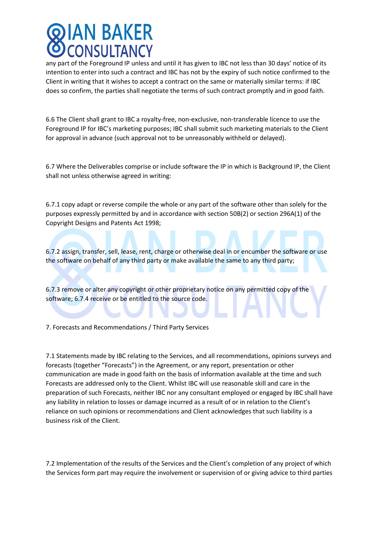### AN BAKER **CONSULTANCY**

any part of the Foreground IP unless and until it has given to IBC not less than 30 days' notice of its intention to enter into such a contract and IBC has not by the expiry of such notice confirmed to the Client in writing that it wishes to accept a contract on the same or materially similar terms: if IBC does so confirm, the parties shall negotiate the terms of such contract promptly and in good faith.

6.6 The Client shall grant to IBC a royalty-free, non-exclusive, non-transferable licence to use the Foreground IP for IBC's marketing purposes; IBC shall submit such marketing materials to the Client for approval in advance (such approval not to be unreasonably withheld or delayed).

6.7 Where the Deliverables comprise or include software the IP in which is Background IP, the Client shall not unless otherwise agreed in writing:

6.7.1 copy adapt or reverse compile the whole or any part of the software other than solely for the purposes expressly permitted by and in accordance with section 50B(2) or section 296A(1) of the Copyright Designs and Patents Act 1998;

6.7.2 assign, transfer, sell, lease, rent, charge or otherwise deal in or encumber the software or use the software on behalf of any third party or make available the same to any third party;

6.7.3 remove or alter any copyright or other proprietary notice on any permitted copy of the software; 6.7.4 receive or be entitled to the source code.

7. Forecasts and Recommendations / Third Party Services

7.1 Statements made by IBC relating to the Services, and all recommendations, opinions surveys and forecasts (together "Forecasts") in the Agreement, or any report, presentation or other communication are made in good faith on the basis of information available at the time and such Forecasts are addressed only to the Client. Whilst IBC will use reasonable skill and care in the preparation of such Forecasts, neither IBC nor any consultant employed or engaged by IBC shall have any liability in relation to losses or damage incurred as a result of or in relation to the Client's reliance on such opinions or recommendations and Client acknowledges that such liability is a business risk of the Client.

7.2 Implementation of the results of the Services and the Client's completion of any project of which the Services form part may require the involvement or supervision of or giving advice to third parties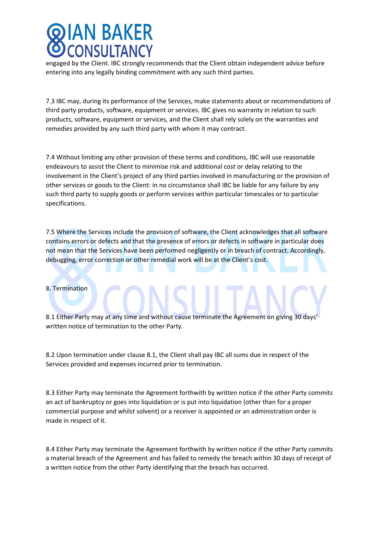## AN BAKER **CONSULTANCY**

engaged by the Client. IBC strongly recommends that the Client obtain independent advice before entering into any legally binding commitment with any such third parties.

7.3 IBC may, during its performance of the Services, make statements about or recommendations of third party products, software, equipment or services. IBC gives no warranty in relation to such products, software, equipment or services, and the Client shall rely solely on the warranties and remedies provided by any such third party with whom it may contract.

7.4 Without limiting any other provision of these terms and conditions, IBC will use reasonable endeavours to assist the Client to minimise risk and additional cost or delay relating to the involvement in the Client's project of any third parties involved in manufacturing or the provision of other services or goods to the Client: in no circumstance shall IBC be liable for any failure by any such third party to supply goods or perform services within particular timescales or to particular specifications.

7.5 Where the Services include the provision of software, the Client acknowledges that all software contains errors or defects and that the presence of errors or defects in software in particular does not mean that the Services have been performed negligently or in breach of contract. Accordingly, debugging, error correction or other remedial work will be at the Client's cost.

#### 8. Termination

8.1 Either Party may at any time and without cause terminate the Agreement on giving 30 days' written notice of termination to the other Party.

8.2 Upon termination under clause 8.1, the Client shall pay IBC all sums due in respect of the Services provided and expenses incurred prior to termination.

8.3 Either Party may terminate the Agreement forthwith by written notice if the other Party commits an act of bankruptcy or goes into liquidation or is put into liquidation (other than for a proper commercial purpose and whilst solvent) or a receiver is appointed or an administration order is made in respect of it.

8.4 Either Party may terminate the Agreement forthwith by written notice if the other Party commits a material breach of the Agreement and has failed to remedy the breach within 30 days of receipt of a written notice from the other Party identifying that the breach has occurred.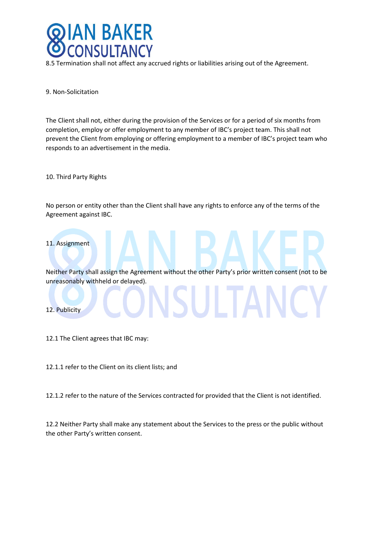

8.5 Termination shall not affect any accrued rights or liabilities arising out of the Agreement.

9. Non-Solicitation

The Client shall not, either during the provision of the Services or for a period of six months from completion, employ or offer employment to any member of IBC's project team. This shall not prevent the Client from employing or offering employment to a member of IBC's project team who responds to an advertisement in the media.

10. Third Party Rights

No person or entity other than the Client shall have any rights to enforce any of the terms of the Agreement against IBC.



Neither Party shall assign the Agreement without the other Party's prior written consent (not to be unreasonably withheld or delayed).

#### 12. Publicity

12.1 The Client agrees that IBC may:

12.1.1 refer to the Client on its client lists; and

12.1.2 refer to the nature of the Services contracted for provided that the Client is not identified.

12.2 Neither Party shall make any statement about the Services to the press or the public without the other Party's written consent.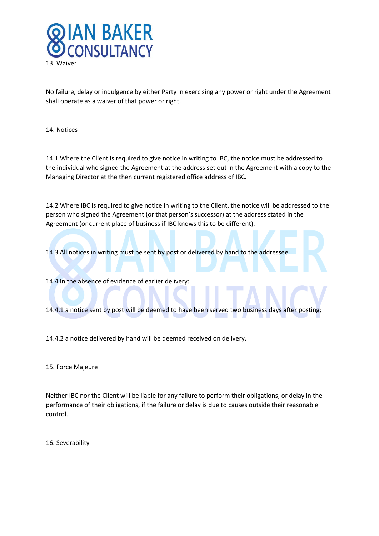

No failure, delay or indulgence by either Party in exercising any power or right under the Agreement shall operate as a waiver of that power or right.

14. Notices

14.1 Where the Client is required to give notice in writing to IBC, the notice must be addressed to the individual who signed the Agreement at the address set out in the Agreement with a copy to the Managing Director at the then current registered office address of IBC.

14.2 Where IBC is required to give notice in writing to the Client, the notice will be addressed to the person who signed the Agreement (or that person's successor) at the address stated in the Agreement (or current place of business if IBC knows this to be different).

14.3 All notices in writing must be sent by post or delivered by hand to the addressee.

14.4 In the absence of evidence of earlier delivery:

14.4.1 a notice sent by post will be deemed to have been served two business days after posting;

14.4.2 a notice delivered by hand will be deemed received on delivery.

15. Force Majeure

Neither IBC nor the Client will be liable for any failure to perform their obligations, or delay in the performance of their obligations, if the failure or delay is due to causes outside their reasonable control.

16. Severability